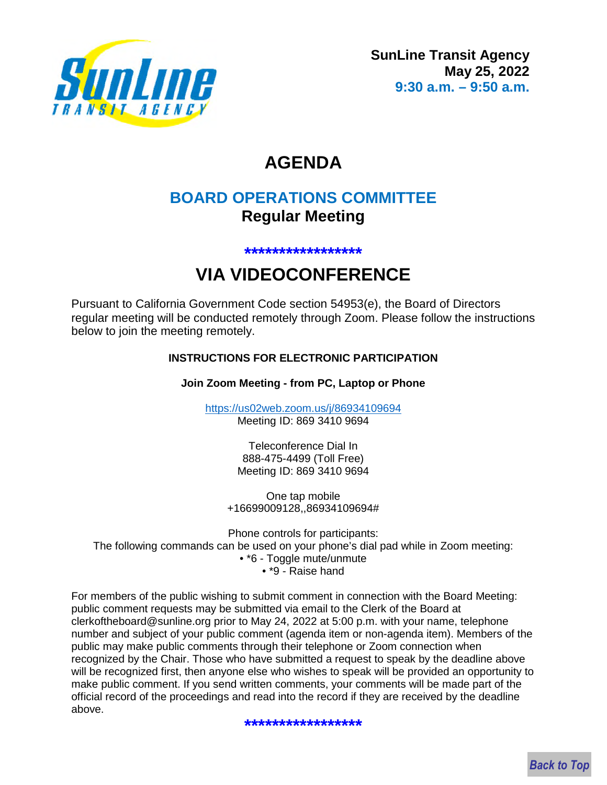

# **AGENDA**

# **BOARD OPERATIONS COMMITTEE Regular Meeting**

#### **\*\*\*\*\*\*\*\*\*\*\*\*\*\*\*\*\***

# **VIA VIDEOCONFERENCE**

Pursuant to California Government Code section 54953(e), the Board of Directors regular meeting will be conducted remotely through Zoom. Please follow the instructions below to join the meeting remotely.

## **INSTRUCTIONS FOR ELECTRONIC PARTICIPATION**

**Join Zoom Meeting - from PC, Laptop or Phone** 

https://us02web.zoom.us/j/86934109694 Meeting ID: 869 3410 9694

> Teleconference Dial In 888-475-4499 (Toll Free) Meeting ID: 869 3410 9694

One tap mobile +16699009128,,86934109694#

Phone controls for participants: The following commands can be used on your phone's dial pad while in Zoom meeting: • \*6 - Toggle mute/unmute • \*9 - Raise hand

For members of the public wishing to submit comment in connection with the Board Meeting: public comment requests may be submitted via email to the Clerk of the Board at clerkoftheboard@sunline.org prior to May 24, 2022 at 5:00 p.m. with your name, telephone number and subject of your public comment (agenda item or non-agenda item). Members of the public may make public comments through their telephone or Zoom connection when recognized by the Chair. Those who have submitted a request to speak by the deadline above will be recognized first, then anyone else who wishes to speak will be provided an opportunity to make public comment. If you send written comments, your comments will be made part of the official record of the proceedings and read into the record if they are received by the deadline above.

#### **\*\*\*\*\*\*\*\*\*\*\*\*\*\*\*\*\***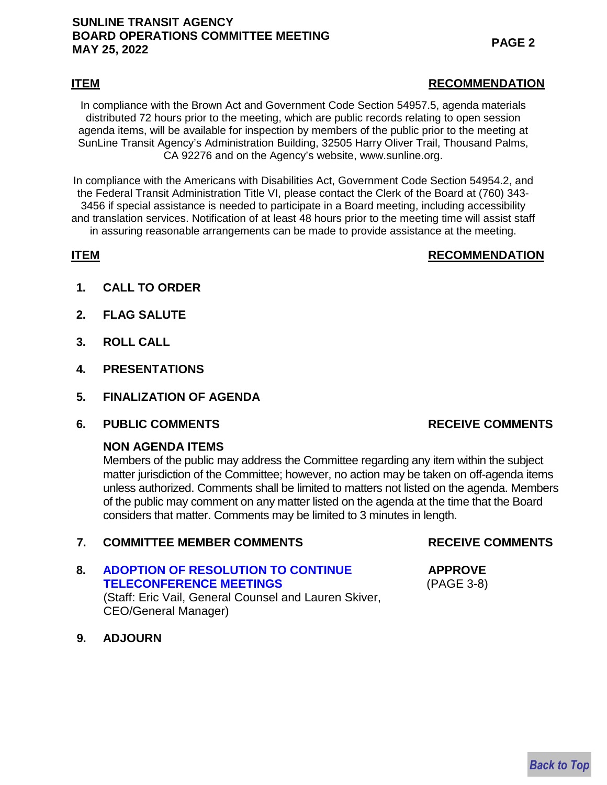## **SUNLINE TRANSIT AGENCY BOARD OPERATIONS COMMITTEE MEETING MAY 25, 2022 PAGE 2**

#### **ITEM RECOMMENDATION**

In compliance with the Brown Act and Government Code Section 54957.5, agenda materials distributed 72 hours prior to the meeting, which are public records relating to open session agenda items, will be available for inspection by members of the public prior to the meeting at SunLine Transit Agency's Administration Building, 32505 Harry Oliver Trail, Thousand Palms, CA 92276 and on the Agency's website, www.sunline.org.

In compliance with the Americans with Disabilities Act, Government Code Section 54954.2, and the Federal Transit Administration Title VI, please contact the Clerk of the Board at (760) 343- 3456 if special assistance is needed to participate in a Board meeting, including accessibility and translation services. Notification of at least 48 hours prior to the meeting time will assist staff in assuring reasonable arrangements can be made to provide assistance at the meeting.

## **ITEM** RECOMMENDATION

- **1. CALL TO ORDER**
- **2. FLAG SALUTE**
- **3. ROLL CALL**
- **4. PRESENTATIONS**
- **5. FINALIZATION OF AGENDA**
- **6. PUBLIC COMMENTS RECEIVE COMMENTS**

## **NON AGENDA ITEMS**

Members of the public may address the Committee regarding any item within the subject matter jurisdiction of the Committee; however, no action may be taken on off-agenda items unless authorized. Comments shall be limited to matters not listed on the agenda. Members of the public may comment on any matter listed on the agenda at the time that the Board considers that matter. Comments may be limited to 3 minutes in length.

# **7. COMMITTEE MEMBER COMMENTS**

**8. [ADOPTION OF RESOLUTION TO CONTINUE](#page-2-0)  TELECONFERENCE MEETINGS** (Staff: Eric Vail, General Counsel and Lauren Skiver, CEO/General Manager)

## **RECEIVE COMMENTS**

# **APPROVE**

# (PAGE 3-8)

**9. ADJOURN**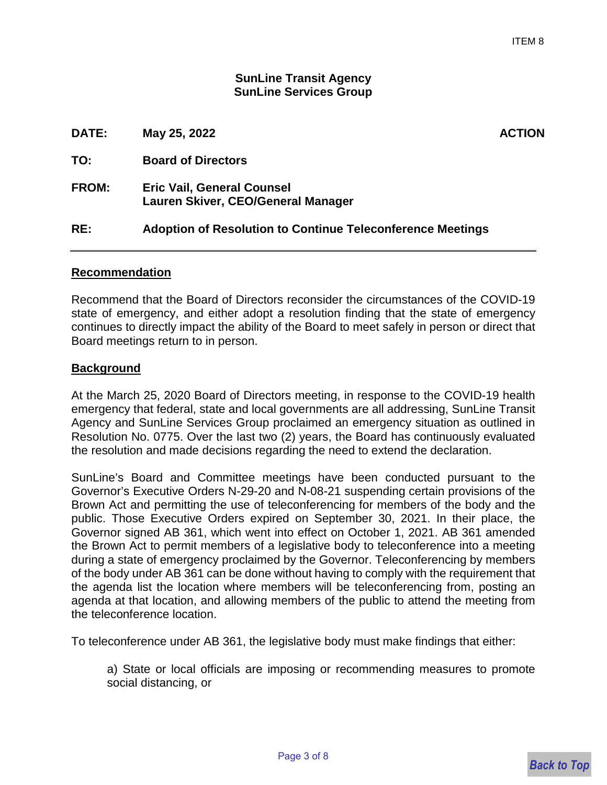#### **SunLine Transit Agency SunLine Services Group**

<span id="page-2-0"></span>

| DATE:        | May 25, 2022                                                            | <b>ACTION</b> |
|--------------|-------------------------------------------------------------------------|---------------|
| TO:          | <b>Board of Directors</b>                                               |               |
| <b>FROM:</b> | <b>Eric Vail, General Counsel</b><br>Lauren Skiver, CEO/General Manager |               |
| RE:          | <b>Adoption of Resolution to Continue Teleconference Meetings</b>       |               |
|              |                                                                         |               |

#### **Recommendation**

Recommend that the Board of Directors reconsider the circumstances of the COVID-19 state of emergency, and either adopt a resolution finding that the state of emergency continues to directly impact the ability of the Board to meet safely in person or direct that Board meetings return to in person.

#### **Background**

At the March 25, 2020 Board of Directors meeting, in response to the COVID-19 health emergency that federal, state and local governments are all addressing, SunLine Transit Agency and SunLine Services Group proclaimed an emergency situation as outlined in Resolution No. 0775. Over the last two (2) years, the Board has continuously evaluated the resolution and made decisions regarding the need to extend the declaration.

SunLine's Board and Committee meetings have been conducted pursuant to the Governor's Executive Orders N-29-20 and N-08-21 suspending certain provisions of the Brown Act and permitting the use of teleconferencing for members of the body and the public. Those Executive Orders expired on September 30, 2021. In their place, the Governor signed AB 361, which went into effect on October 1, 2021. AB 361 amended the Brown Act to permit members of a legislative body to teleconference into a meeting during a state of emergency proclaimed by the Governor. Teleconferencing by members of the body under AB 361 can be done without having to comply with the requirement that the agenda list the location where members will be teleconferencing from, posting an agenda at that location, and allowing members of the public to attend the meeting from the teleconference location.

To teleconference under AB 361, the legislative body must make findings that either:

a) State or local officials are imposing or recommending measures to promote social distancing, or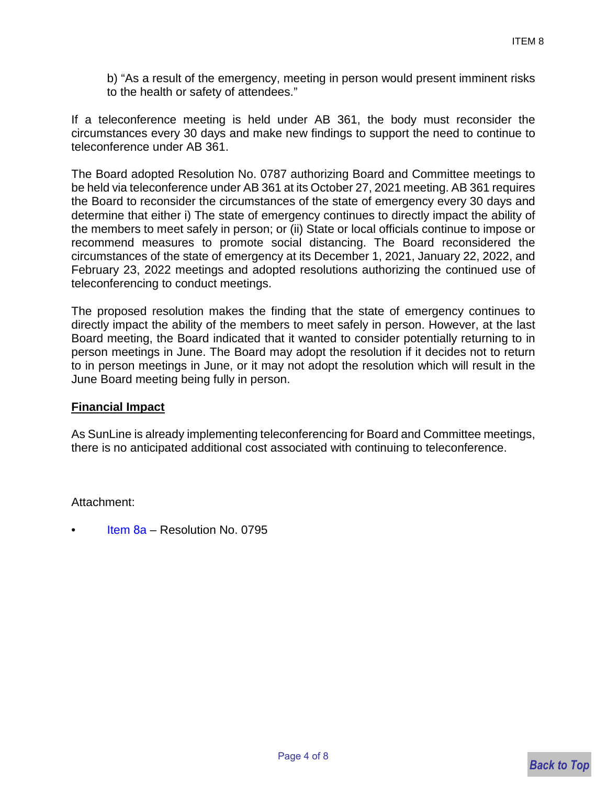b) "As a result of the emergency, meeting in person would present imminent risks to the health or safety of attendees."

If a teleconference meeting is held under AB 361, the body must reconsider the circumstances every 30 days and make new findings to support the need to continue to teleconference under AB 361.

The Board adopted Resolution No. 0787 authorizing Board and Committee meetings to be held via teleconference under AB 361 at its October 27, 2021 meeting. AB 361 requires the Board to reconsider the circumstances of the state of emergency every 30 days and determine that either i) The state of emergency continues to directly impact the ability of the members to meet safely in person; or (ii) State or local officials continue to impose or recommend measures to promote social distancing. The Board reconsidered the circumstances of the state of emergency at its December 1, 2021, January 22, 2022, and February 23, 2022 meetings and adopted resolutions authorizing the continued use of teleconferencing to conduct meetings.

The proposed resolution makes the finding that the state of emergency continues to directly impact the ability of the members to meet safely in person. However, at the last Board meeting, the Board indicated that it wanted to consider potentially returning to in person meetings in June. The Board may adopt the resolution if it decides not to return to in person meetings in June, or it may not adopt the resolution which will result in the June Board meeting being fully in person.

## **Financial Impact**

As SunLine is already implementing teleconferencing for Board and Committee meetings, there is no anticipated additional cost associated with continuing to teleconference.

Attachment:

• [Item](#page-4-0) 8a – Resolution No. 0795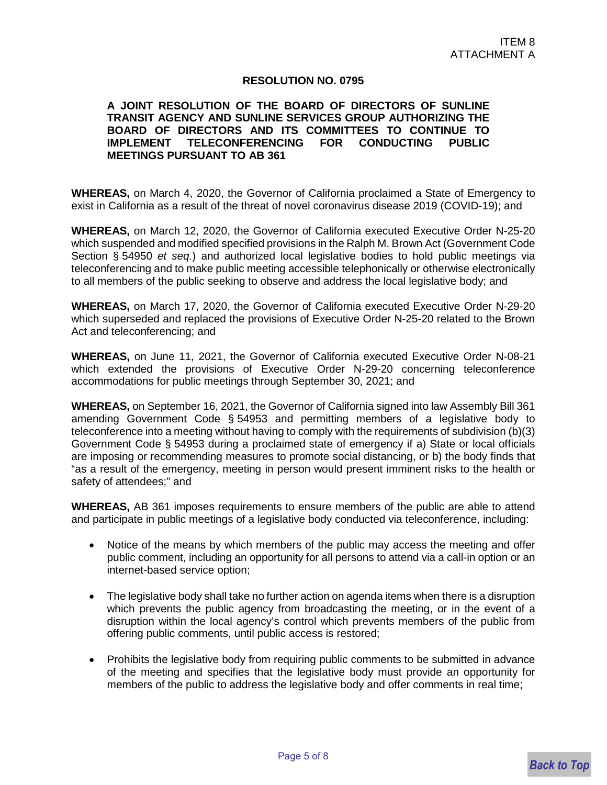#### **RESOLUTION NO. 0795**

#### <span id="page-4-0"></span>**A JOINT RESOLUTION OF THE BOARD OF DIRECTORS OF SUNLINE TRANSIT AGENCY AND SUNLINE SERVICES GROUP AUTHORIZING THE BOARD OF DIRECTORS AND ITS COMMITTEES TO CONTINUE TO IMPLEMENT TELECONFERENCING FOR CONDUCTING PUBLIC MEETINGS PURSUANT TO AB 361**

**WHEREAS,** on March 4, 2020, the Governor of California proclaimed a State of Emergency to exist in California as a result of the threat of novel coronavirus disease 2019 (COVID-19); and

**WHEREAS,** on March 12, 2020, the Governor of California executed Executive Order N-25-20 which suspended and modified specified provisions in the Ralph M. Brown Act (Government Code Section § 54950 *et seq.*) and authorized local legislative bodies to hold public meetings via teleconferencing and to make public meeting accessible telephonically or otherwise electronically to all members of the public seeking to observe and address the local legislative body; and

**WHEREAS,** on March 17, 2020, the Governor of California executed Executive Order N-29-20 which superseded and replaced the provisions of Executive Order N-25-20 related to the Brown Act and teleconferencing; and

**WHEREAS,** on June 11, 2021, the Governor of California executed Executive Order N-08-21 which extended the provisions of Executive Order N-29-20 concerning teleconference accommodations for public meetings through September 30, 2021; and

**WHEREAS,** on September 16, 2021, the Governor of California signed into law Assembly Bill 361 amending Government Code § 54953 and permitting members of a legislative body to teleconference into a meeting without having to comply with the requirements of subdivision (b)(3) Government Code § 54953 during a proclaimed state of emergency if a) State or local officials are imposing or recommending measures to promote social distancing, or b) the body finds that "as a result of the emergency, meeting in person would present imminent risks to the health or safety of attendees;" and

**WHEREAS,** AB 361 imposes requirements to ensure members of the public are able to attend and participate in public meetings of a legislative body conducted via teleconference, including:

- Notice of the means by which members of the public may access the meeting and offer public comment, including an opportunity for all persons to attend via a call-in option or an internet-based service option;
- The legislative body shall take no further action on agenda items when there is a disruption which prevents the public agency from broadcasting the meeting, or in the event of a disruption within the local agency's control which prevents members of the public from offering public comments, until public access is restored;
- Prohibits the legislative body from requiring public comments to be submitted in advance of the meeting and specifies that the legislative body must provide an opportunity for members of the public to address the legislative body and offer comments in real time;

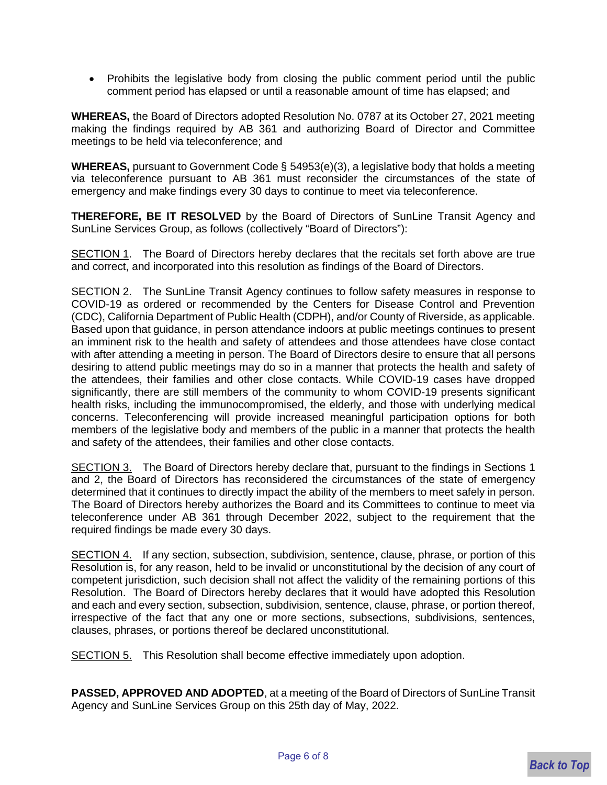• Prohibits the legislative body from closing the public comment period until the public comment period has elapsed or until a reasonable amount of time has elapsed; and

**WHEREAS,** the Board of Directors adopted Resolution No. 0787 at its October 27, 2021 meeting making the findings required by AB 361 and authorizing Board of Director and Committee meetings to be held via teleconference; and

**WHEREAS,** pursuant to Government Code § 54953(e)(3), a legislative body that holds a meeting via teleconference pursuant to AB 361 must reconsider the circumstances of the state of emergency and make findings every 30 days to continue to meet via teleconference.

**THEREFORE, BE IT RESOLVED** by the Board of Directors of SunLine Transit Agency and SunLine Services Group, as follows (collectively "Board of Directors"):

SECTION 1. The Board of Directors hereby declares that the recitals set forth above are true and correct, and incorporated into this resolution as findings of the Board of Directors.

SECTION 2. The SunLine Transit Agency continues to follow safety measures in response to COVID-19 as ordered or recommended by the Centers for Disease Control and Prevention (CDC), California Department of Public Health (CDPH), and/or County of Riverside, as applicable. Based upon that guidance, in person attendance indoors at public meetings continues to present an imminent risk to the health and safety of attendees and those attendees have close contact with after attending a meeting in person. The Board of Directors desire to ensure that all persons desiring to attend public meetings may do so in a manner that protects the health and safety of the attendees, their families and other close contacts. While COVID-19 cases have dropped significantly, there are still members of the community to whom COVID-19 presents significant health risks, including the immunocompromised, the elderly, and those with underlying medical concerns. Teleconferencing will provide increased meaningful participation options for both members of the legislative body and members of the public in a manner that protects the health and safety of the attendees, their families and other close contacts.

SECTION 3. The Board of Directors hereby declare that, pursuant to the findings in Sections 1 and 2, the Board of Directors has reconsidered the circumstances of the state of emergency determined that it continues to directly impact the ability of the members to meet safely in person. The Board of Directors hereby authorizes the Board and its Committees to continue to meet via teleconference under AB 361 through December 2022, subject to the requirement that the required findings be made every 30 days.

SECTION 4. If any section, subsection, subdivision, sentence, clause, phrase, or portion of this Resolution is, for any reason, held to be invalid or unconstitutional by the decision of any court of competent jurisdiction, such decision shall not affect the validity of the remaining portions of this Resolution. The Board of Directors hereby declares that it would have adopted this Resolution and each and every section, subsection, subdivision, sentence, clause, phrase, or portion thereof, irrespective of the fact that any one or more sections, subsections, subdivisions, sentences, clauses, phrases, or portions thereof be declared unconstitutional.

SECTION 5. This Resolution shall become effective immediately upon adoption.

**PASSED, APPROVED AND ADOPTED**, at a meeting of the Board of Directors of SunLine Transit Agency and SunLine Services Group on this 25th day of May, 2022.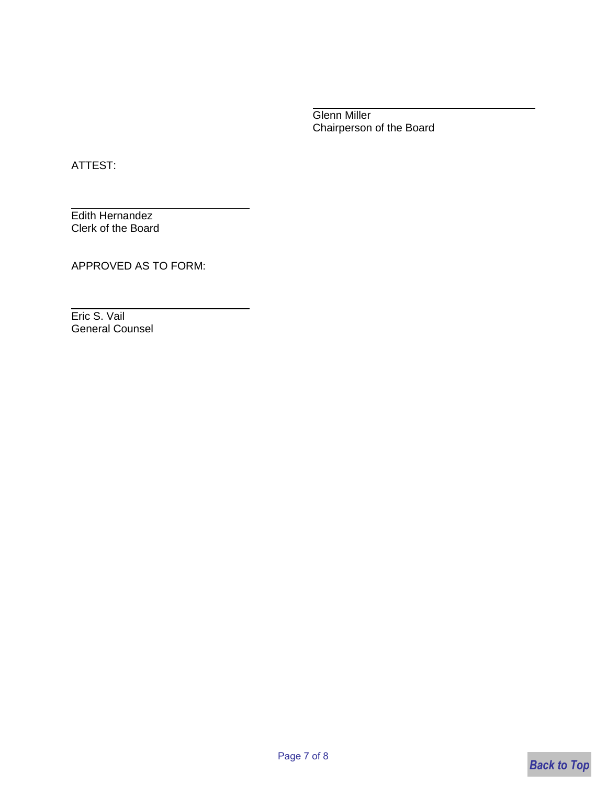Glenn Miller Chairperson of the Board

ATTEST:

Edith Hernandez Clerk of the Board

APPROVED AS TO FORM:

Eric S. Vail General Counsel